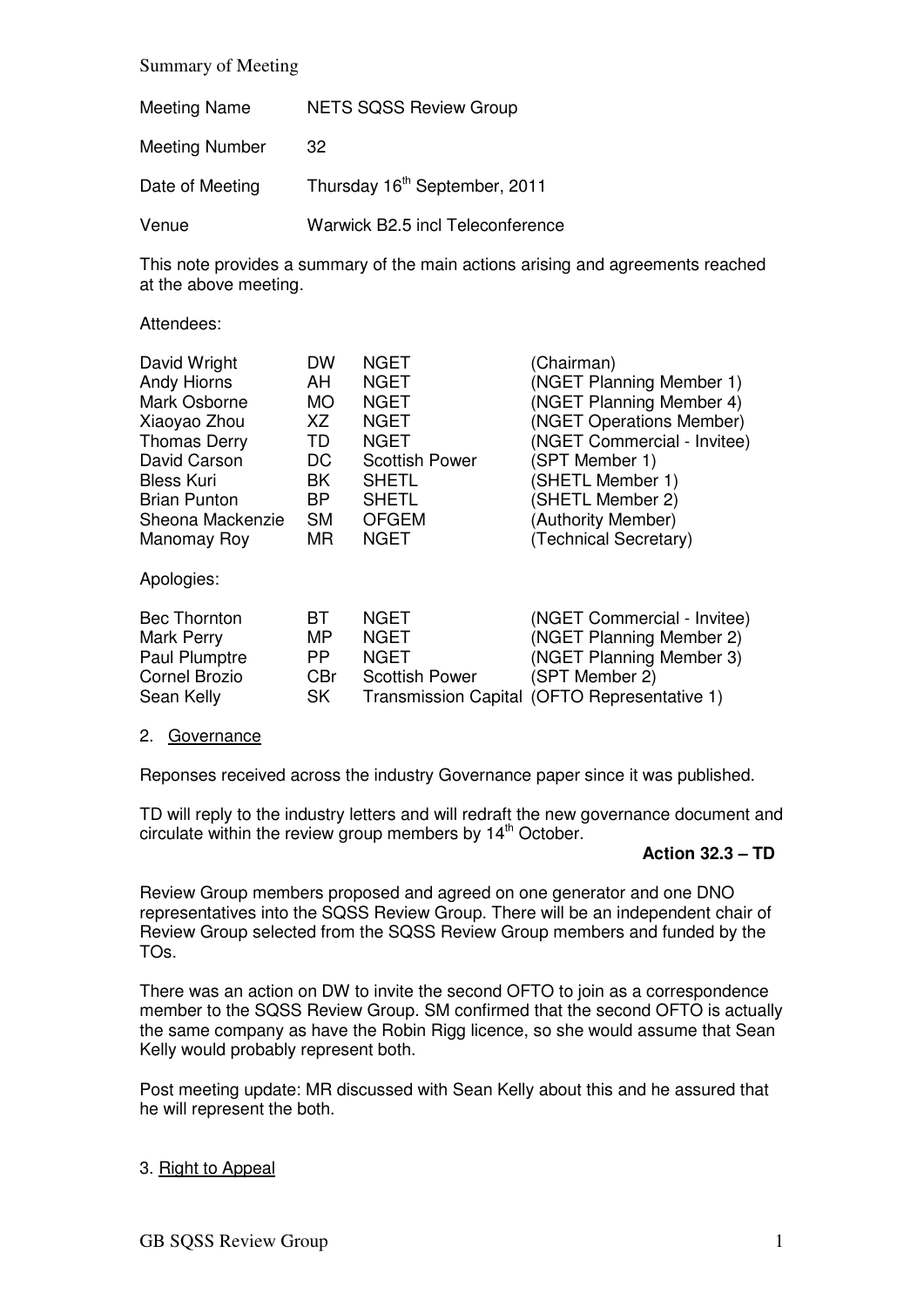#### Summary of Meeting

| <b>Meeting Name</b>   | <b>NETS SQSS Review Group</b>             |
|-----------------------|-------------------------------------------|
| <b>Meeting Number</b> | 32                                        |
| Date of Meeting       | Thursday 16 <sup>th</sup> September, 2011 |
| Venue                 | Warwick B2.5 incl Teleconference          |

This note provides a summary of the main actions arising and agreements reached at the above meeting.

#### Attendees:

| David Wright         | <b>DW</b>  | <b>NGET</b>           | (Chairman)                                   |
|----------------------|------------|-----------------------|----------------------------------------------|
| <b>Andy Hiorns</b>   | AH         | <b>NGET</b>           | (NGET Planning Member 1)                     |
| Mark Osborne         | <b>MO</b>  | <b>NGET</b>           | (NGET Planning Member 4)                     |
| Xiaoyao Zhou         | XZ         | <b>NGET</b>           | (NGET Operations Member)                     |
| <b>Thomas Derry</b>  | TD.        | <b>NGET</b>           | (NGET Commercial - Invitee)                  |
| David Carson         | DC         | <b>Scottish Power</b> | (SPT Member 1)                               |
| <b>Bless Kuri</b>    | BK         | <b>SHETL</b>          | (SHETL Member 1)                             |
| <b>Brian Punton</b>  | BP.        | <b>SHETL</b>          | (SHETL Member 2)                             |
| Sheona Mackenzie     | <b>SM</b>  | <b>OFGEM</b>          | (Authority Member)                           |
| Manomay Roy          | <b>MR</b>  | <b>NGET</b>           | (Technical Secretary)                        |
| Apologies:           |            |                       |                                              |
| <b>Bec Thornton</b>  | BT         | <b>NGET</b>           | (NGET Commercial - Invitee)                  |
| Mark Perry           | <b>MP</b>  | <b>NGET</b>           | (NGET Planning Member 2)                     |
| Paul Plumptre        | <b>PP</b>  | <b>NGET</b>           | (NGET Planning Member 3)                     |
| <b>Cornel Brozio</b> | <b>CBr</b> | <b>Scottish Power</b> | (SPT Member 2)                               |
| Sean Kelly           | <b>SK</b>  |                       | Transmission Capital (OFTO Representative 1) |

#### 2. Governance

Reponses received across the industry Governance paper since it was published.

TD will reply to the industry letters and will redraft the new governance document and circulate within the review group members by 14<sup>th</sup> October.

### **Action 32.3 – TD**

Review Group members proposed and agreed on one generator and one DNO representatives into the SQSS Review Group. There will be an independent chair of Review Group selected from the SQSS Review Group members and funded by the TOs.

There was an action on DW to invite the second OFTO to join as a correspondence member to the SQSS Review Group. SM confirmed that the second OFTO is actually the same company as have the Robin Rigg licence, so she would assume that Sean Kelly would probably represent both.

Post meeting update: MR discussed with Sean Kelly about this and he assured that he will represent the both.

### 3. Right to Appeal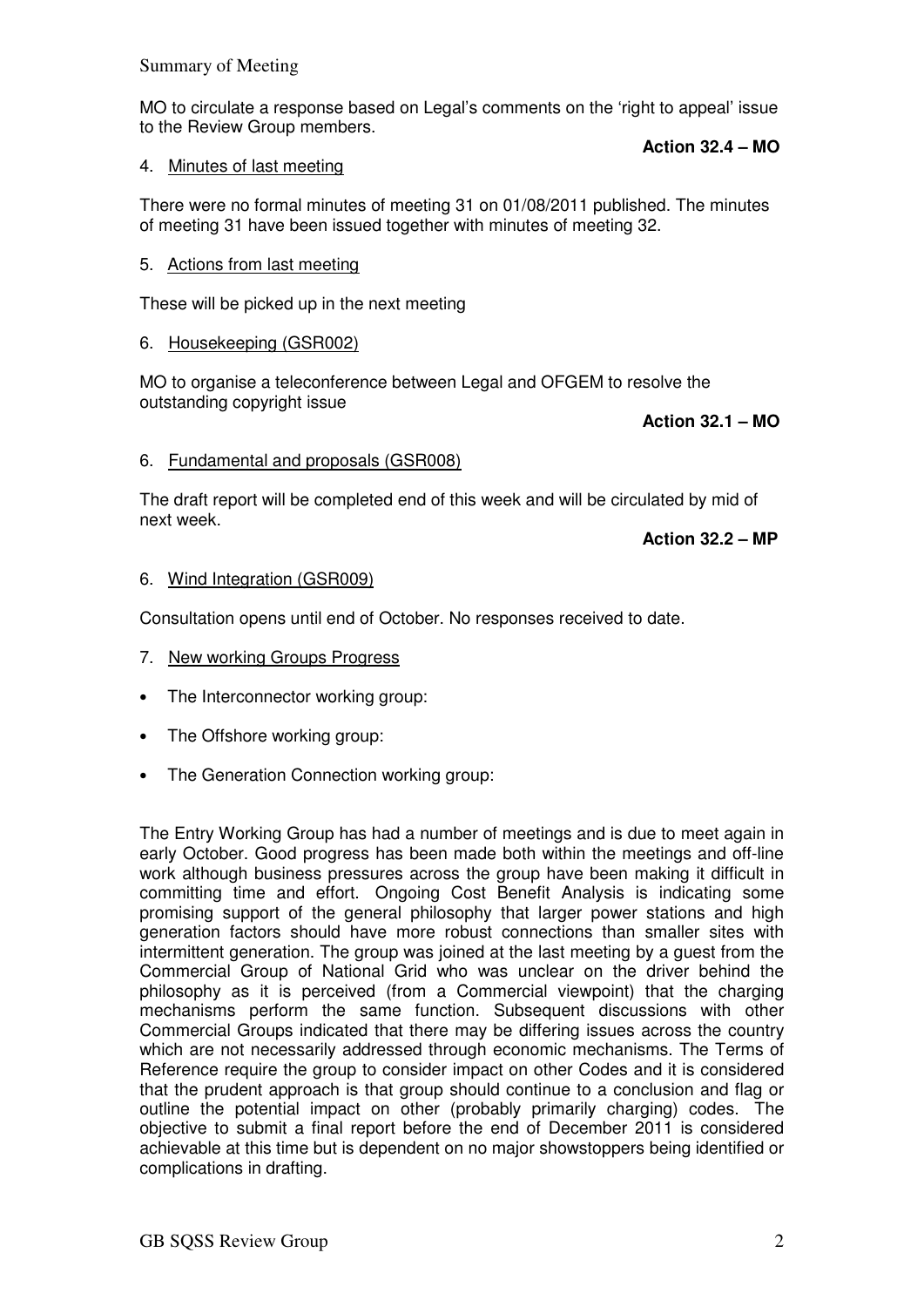MO to circulate a response based on Legal's comments on the 'right to appeal' issue to the Review Group members.

**Action 32.4 – MO** 

# 4. Minutes of last meeting

There were no formal minutes of meeting 31 on 01/08/2011 published. The minutes of meeting 31 have been issued together with minutes of meeting 32.

# 5. Actions from last meeting

These will be picked up in the next meeting

# 6. Housekeeping (GSR002)

MO to organise a teleconference between Legal and OFGEM to resolve the outstanding copyright issue

**Action 32.1 – MO**

### 6. Fundamental and proposals (GSR008)

The draft report will be completed end of this week and will be circulated by mid of next week.

**Action 32.2 – MP**

### 6. Wind Integration (GSR009)

Consultation opens until end of October. No responses received to date.

- 7. New working Groups Progress
- The Interconnector working group:
- The Offshore working group:
- The Generation Connection working group:

The Entry Working Group has had a number of meetings and is due to meet again in early October. Good progress has been made both within the meetings and off-line work although business pressures across the group have been making it difficult in committing time and effort. Ongoing Cost Benefit Analysis is indicating some promising support of the general philosophy that larger power stations and high generation factors should have more robust connections than smaller sites with intermittent generation. The group was joined at the last meeting by a guest from the Commercial Group of National Grid who was unclear on the driver behind the philosophy as it is perceived (from a Commercial viewpoint) that the charging mechanisms perform the same function. Subsequent discussions with other Commercial Groups indicated that there may be differing issues across the country which are not necessarily addressed through economic mechanisms. The Terms of Reference require the group to consider impact on other Codes and it is considered that the prudent approach is that group should continue to a conclusion and flag or outline the potential impact on other (probably primarily charging) codes. The objective to submit a final report before the end of December 2011 is considered achievable at this time but is dependent on no major showstoppers being identified or complications in drafting.